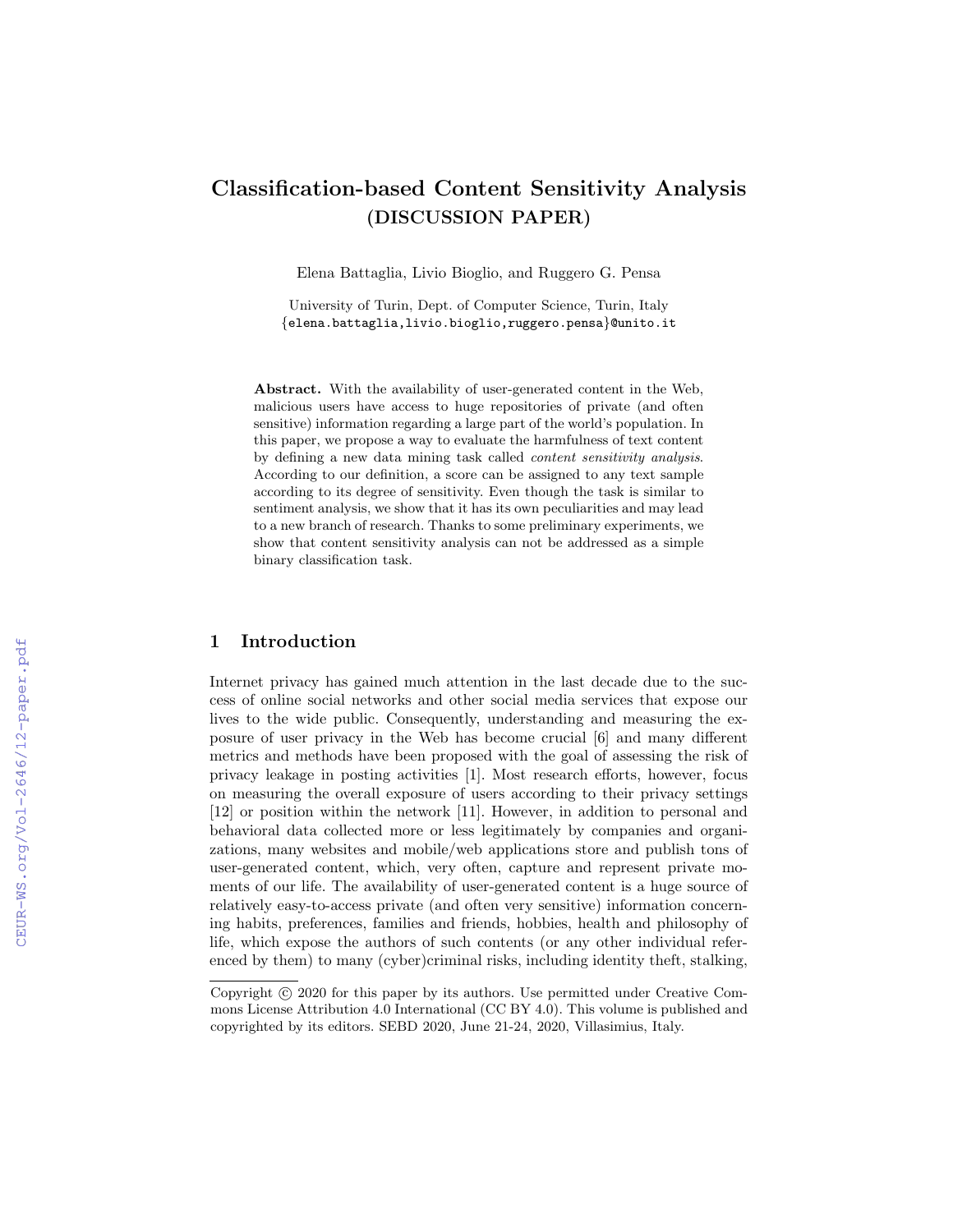# Classification-based Content Sensitivity Analysis (DISCUSSION PAPER)

Elena Battaglia, Livio Bioglio, and Ruggero G. Pensa

University of Turin, Dept. of Computer Science, Turin, Italy {elena.battaglia,livio.bioglio,ruggero.pensa}@unito.it

Abstract. With the availability of user-generated content in the Web, malicious users have access to huge repositories of private (and often sensitive) information regarding a large part of the world's population. In this paper, we propose a way to evaluate the harmfulness of text content by defining a new data mining task called content sensitivity analysis. According to our definition, a score can be assigned to any text sample according to its degree of sensitivity. Even though the task is similar to sentiment analysis, we show that it has its own peculiarities and may lead to a new branch of research. Thanks to some preliminary experiments, we show that content sensitivity analysis can not be addressed as a simple binary classification task.

# 1 Introduction

Internet privacy has gained much attention in the last decade due to the success of online social networks and other social media services that expose our lives to the wide public. Consequently, understanding and measuring the exposure of user privacy in the Web has become crucial [6] and many different metrics and methods have been proposed with the goal of assessing the risk of privacy leakage in posting activities [1]. Most research efforts, however, focus on measuring the overall exposure of users according to their privacy settings [12] or position within the network [11]. However, in addition to personal and behavioral data collected more or less legitimately by companies and organizations, many websites and mobile/web applications store and publish tons of user-generated content, which, very often, capture and represent private moments of our life. The availability of user-generated content is a huge source of relatively easy-to-access private (and often very sensitive) information concerning habits, preferences, families and friends, hobbies, health and philosophy of life, which expose the authors of such contents (or any other individual referenced by them) to many (cyber)criminal risks, including identity theft, stalking,

Copyright  $\odot$  2020 for this paper by its authors. Use permitted under Creative Commons License Attribution 4.0 International (CC BY 4.0). This volume is published and copyrighted by its editors. SEBD 2020, June 21-24, 2020, Villasimius, Italy.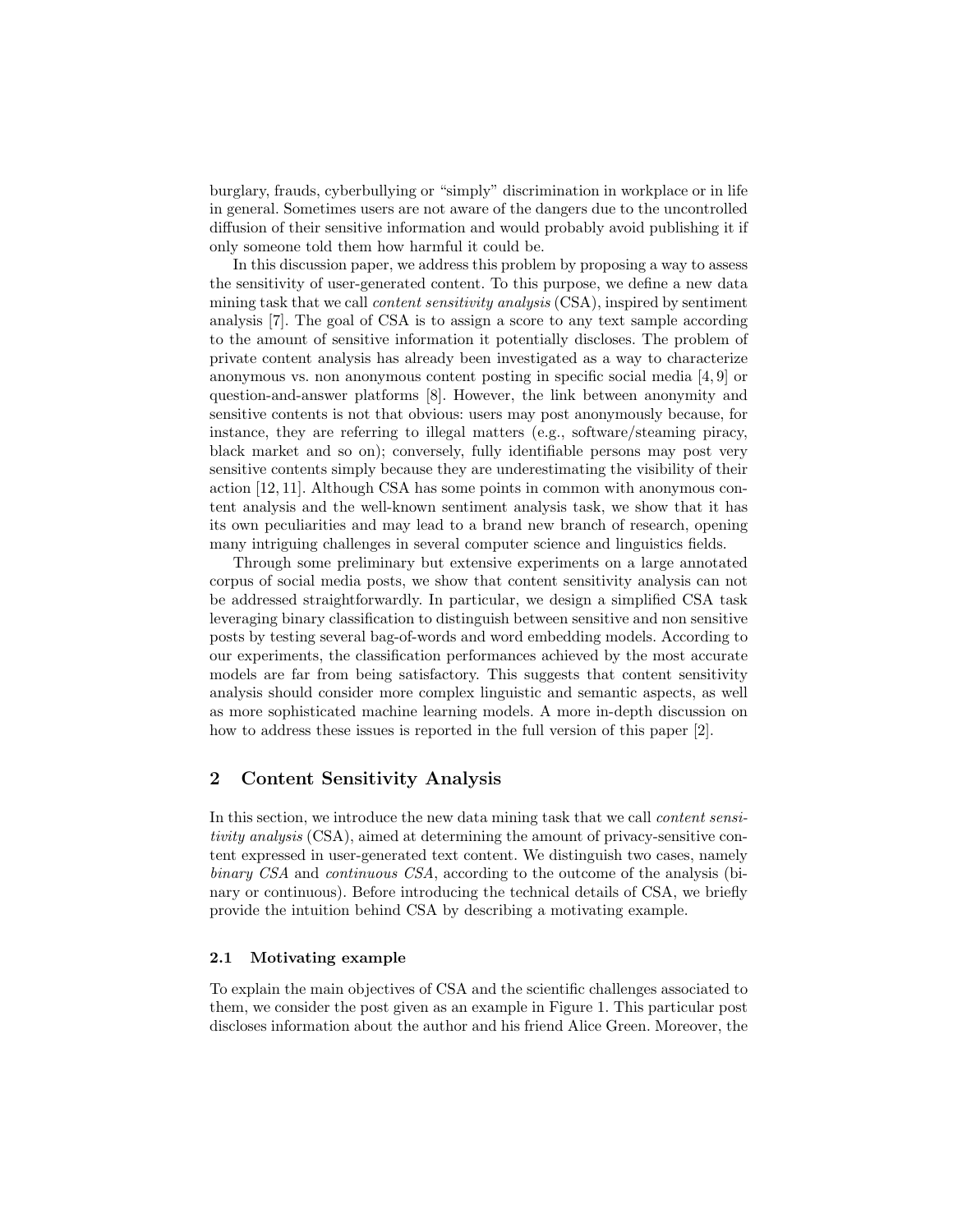burglary, frauds, cyberbullying or "simply" discrimination in workplace or in life in general. Sometimes users are not aware of the dangers due to the uncontrolled diffusion of their sensitive information and would probably avoid publishing it if only someone told them how harmful it could be.

In this discussion paper, we address this problem by proposing a way to assess the sensitivity of user-generated content. To this purpose, we define a new data mining task that we call content sensitivity analysis (CSA), inspired by sentiment analysis [7]. The goal of CSA is to assign a score to any text sample according to the amount of sensitive information it potentially discloses. The problem of private content analysis has already been investigated as a way to characterize anonymous vs. non anonymous content posting in specific social media [4, 9] or question-and-answer platforms [8]. However, the link between anonymity and sensitive contents is not that obvious: users may post anonymously because, for instance, they are referring to illegal matters (e.g., software/steaming piracy, black market and so on); conversely, fully identifiable persons may post very sensitive contents simply because they are underestimating the visibility of their action [12, 11]. Although CSA has some points in common with anonymous content analysis and the well-known sentiment analysis task, we show that it has its own peculiarities and may lead to a brand new branch of research, opening many intriguing challenges in several computer science and linguistics fields.

Through some preliminary but extensive experiments on a large annotated corpus of social media posts, we show that content sensitivity analysis can not be addressed straightforwardly. In particular, we design a simplified CSA task leveraging binary classification to distinguish between sensitive and non sensitive posts by testing several bag-of-words and word embedding models. According to our experiments, the classification performances achieved by the most accurate models are far from being satisfactory. This suggests that content sensitivity analysis should consider more complex linguistic and semantic aspects, as well as more sophisticated machine learning models. A more in-depth discussion on how to address these issues is reported in the full version of this paper [2].

# 2 Content Sensitivity Analysis

In this section, we introduce the new data mining task that we call content sensitivity analysis (CSA), aimed at determining the amount of privacy-sensitive content expressed in user-generated text content. We distinguish two cases, namely binary CSA and continuous CSA, according to the outcome of the analysis (binary or continuous). Before introducing the technical details of CSA, we briefly provide the intuition behind CSA by describing a motivating example.

#### 2.1 Motivating example

To explain the main objectives of CSA and the scientific challenges associated to them, we consider the post given as an example in Figure 1. This particular post discloses information about the author and his friend Alice Green. Moreover, the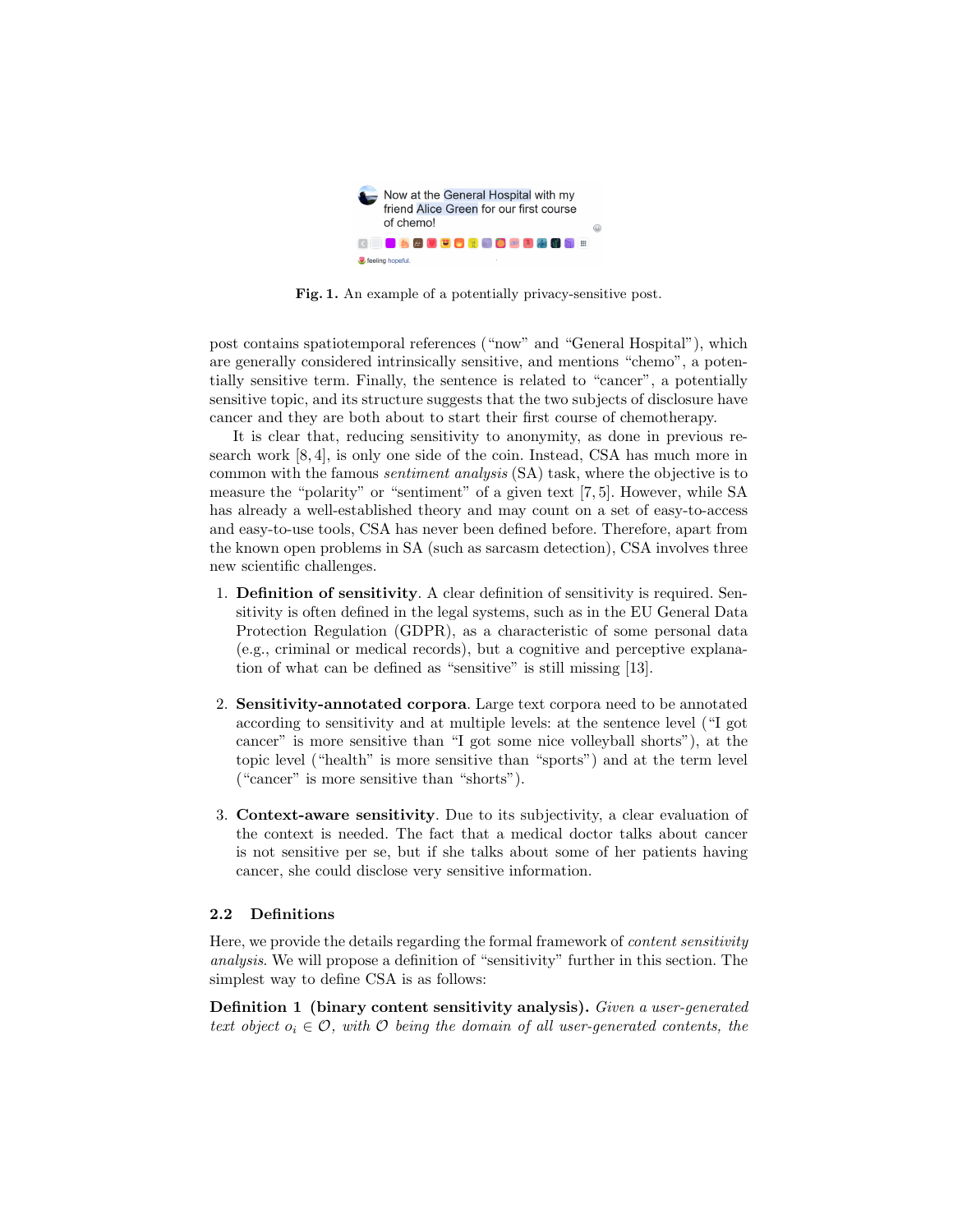

Fig. 1. An example of a potentially privacy-sensitive post.

post contains spatiotemporal references ("now" and "General Hospital"), which are generally considered intrinsically sensitive, and mentions "chemo", a potentially sensitive term. Finally, the sentence is related to "cancer", a potentially sensitive topic, and its structure suggests that the two subjects of disclosure have cancer and they are both about to start their first course of chemotherapy.

It is clear that, reducing sensitivity to anonymity, as done in previous research work [8, 4], is only one side of the coin. Instead, CSA has much more in common with the famous sentiment analysis (SA) task, where the objective is to measure the "polarity" or "sentiment" of a given text [7, 5]. However, while SA has already a well-established theory and may count on a set of easy-to-access and easy-to-use tools, CSA has never been defined before. Therefore, apart from the known open problems in SA (such as sarcasm detection), CSA involves three new scientific challenges.

- 1. Definition of sensitivity. A clear definition of sensitivity is required. Sensitivity is often defined in the legal systems, such as in the EU General Data Protection Regulation (GDPR), as a characteristic of some personal data (e.g., criminal or medical records), but a cognitive and perceptive explanation of what can be defined as "sensitive" is still missing [13].
- 2. Sensitivity-annotated corpora. Large text corpora need to be annotated according to sensitivity and at multiple levels: at the sentence level ("I got cancer" is more sensitive than "I got some nice volleyball shorts"), at the topic level ("health" is more sensitive than "sports") and at the term level ("cancer" is more sensitive than "shorts").
- 3. Context-aware sensitivity. Due to its subjectivity, a clear evaluation of the context is needed. The fact that a medical doctor talks about cancer is not sensitive per se, but if she talks about some of her patients having cancer, she could disclose very sensitive information.

#### 2.2 Definitions

Here, we provide the details regarding the formal framework of content sensitivity analysis. We will propose a definition of "sensitivity" further in this section. The simplest way to define CSA is as follows:

Definition 1 (binary content sensitivity analysis). Given a user-generated text object  $o_i \in \mathcal{O}$ , with  $\mathcal O$  being the domain of all user-generated contents, the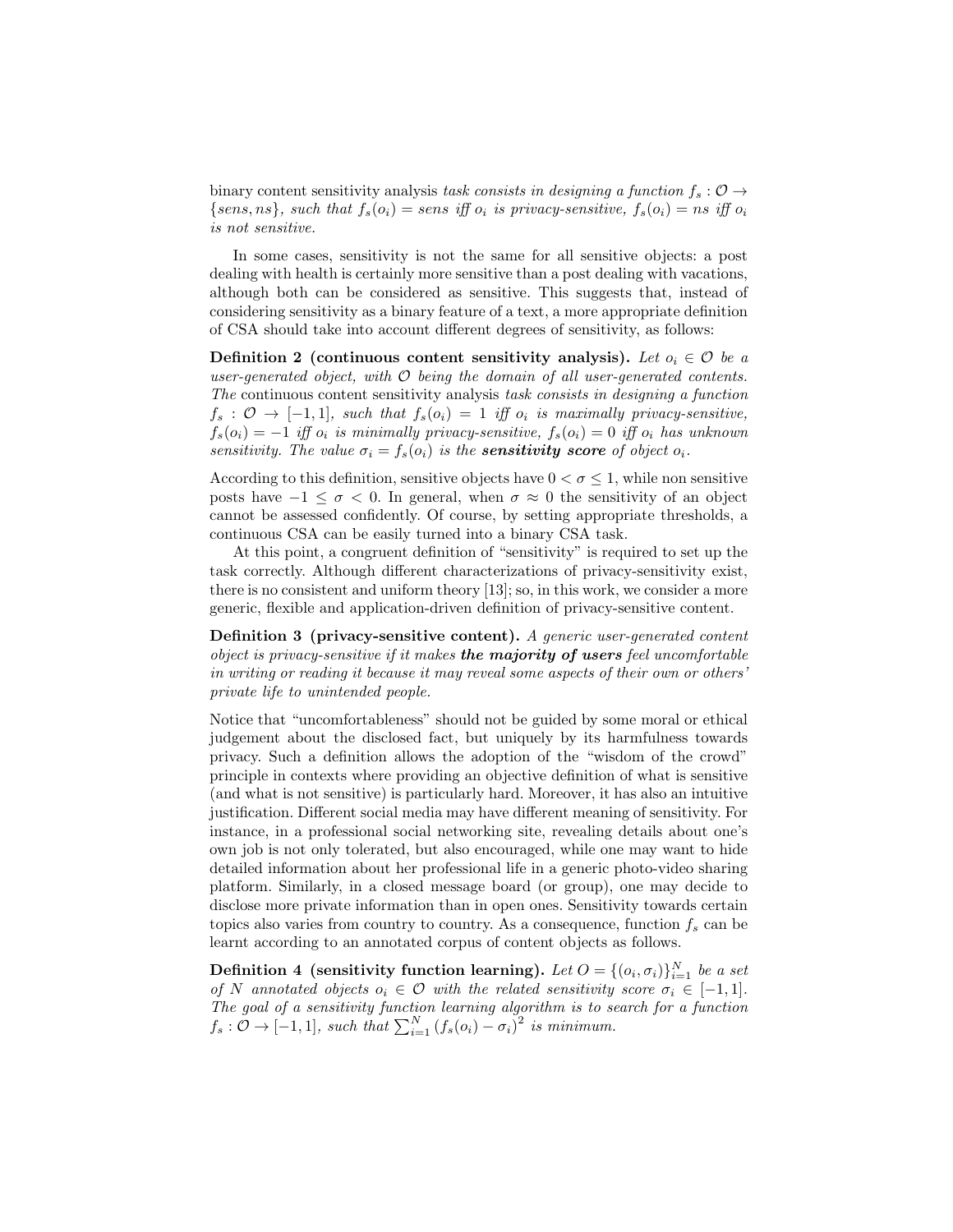binary content sensitivity analysis task consists in designing a function  $f_s : \mathcal{O} \to$  $\{sens, ns\}$ , such that  $f_s(o_i) = sens$  iff  $o_i$  is privacy-sensitive,  $f_s(o_i) = ns$  iff  $o_i$ is not sensitive.

In some cases, sensitivity is not the same for all sensitive objects: a post dealing with health is certainly more sensitive than a post dealing with vacations, although both can be considered as sensitive. This suggests that, instead of considering sensitivity as a binary feature of a text, a more appropriate definition of CSA should take into account different degrees of sensitivity, as follows:

Definition 2 (continuous content sensitivity analysis). Let  $o_i \in \mathcal{O}$  be a user-generated object, with  $O$  being the domain of all user-generated contents. The continuous content sensitivity analysis task consists in designing a function  $f_s: \mathcal{O} \rightarrow [-1,1],$  such that  $f_s(o_i) = 1$  iff  $o_i$  is maximally privacy-sensitive,  $f_s(o_i) = -1$  iff  $o_i$  is minimally privacy-sensitive,  $f_s(o_i) = 0$  iff  $o_i$  has unknown sensitivity. The value  $\sigma_i = f_s(o_i)$  is the **sensitivity score** of object  $o_i$ .

According to this definition, sensitive objects have  $0 < \sigma \leq 1$ , while non sensitive posts have  $-1 \leq \sigma < 0$ . In general, when  $\sigma \approx 0$  the sensitivity of an object cannot be assessed confidently. Of course, by setting appropriate thresholds, a continuous CSA can be easily turned into a binary CSA task.

At this point, a congruent definition of "sensitivity" is required to set up the task correctly. Although different characterizations of privacy-sensitivity exist, there is no consistent and uniform theory [13]; so, in this work, we consider a more generic, flexible and application-driven definition of privacy-sensitive content.

Definition 3 (privacy-sensitive content). A generic user-generated content object is privacy-sensitive if it makes the majority of users feel uncomfortable in writing or reading it because it may reveal some aspects of their own or others' private life to unintended people.

Notice that "uncomfortableness" should not be guided by some moral or ethical judgement about the disclosed fact, but uniquely by its harmfulness towards privacy. Such a definition allows the adoption of the "wisdom of the crowd" principle in contexts where providing an objective definition of what is sensitive (and what is not sensitive) is particularly hard. Moreover, it has also an intuitive justification. Different social media may have different meaning of sensitivity. For instance, in a professional social networking site, revealing details about one's own job is not only tolerated, but also encouraged, while one may want to hide detailed information about her professional life in a generic photo-video sharing platform. Similarly, in a closed message board (or group), one may decide to disclose more private information than in open ones. Sensitivity towards certain topics also varies from country to country. As a consequence, function  $f_s$  can be learnt according to an annotated corpus of content objects as follows.

Definition 4 (sensitivity function learning). Let  $O = \{ (o_i, \sigma_i) \}_{i=1}^N$  be a set of N annotated objects  $o_i \in \mathcal{O}$  with the related sensitivity score  $\sigma_i \in [-1,1]$ . The goal of a sensitivity function learning algorithm is to search for a function  $f_s: \mathcal{O} \to [-1,1],$  such that  $\sum_{i=1}^N (f_s(o_i) - \sigma_i)^2$  is minimum.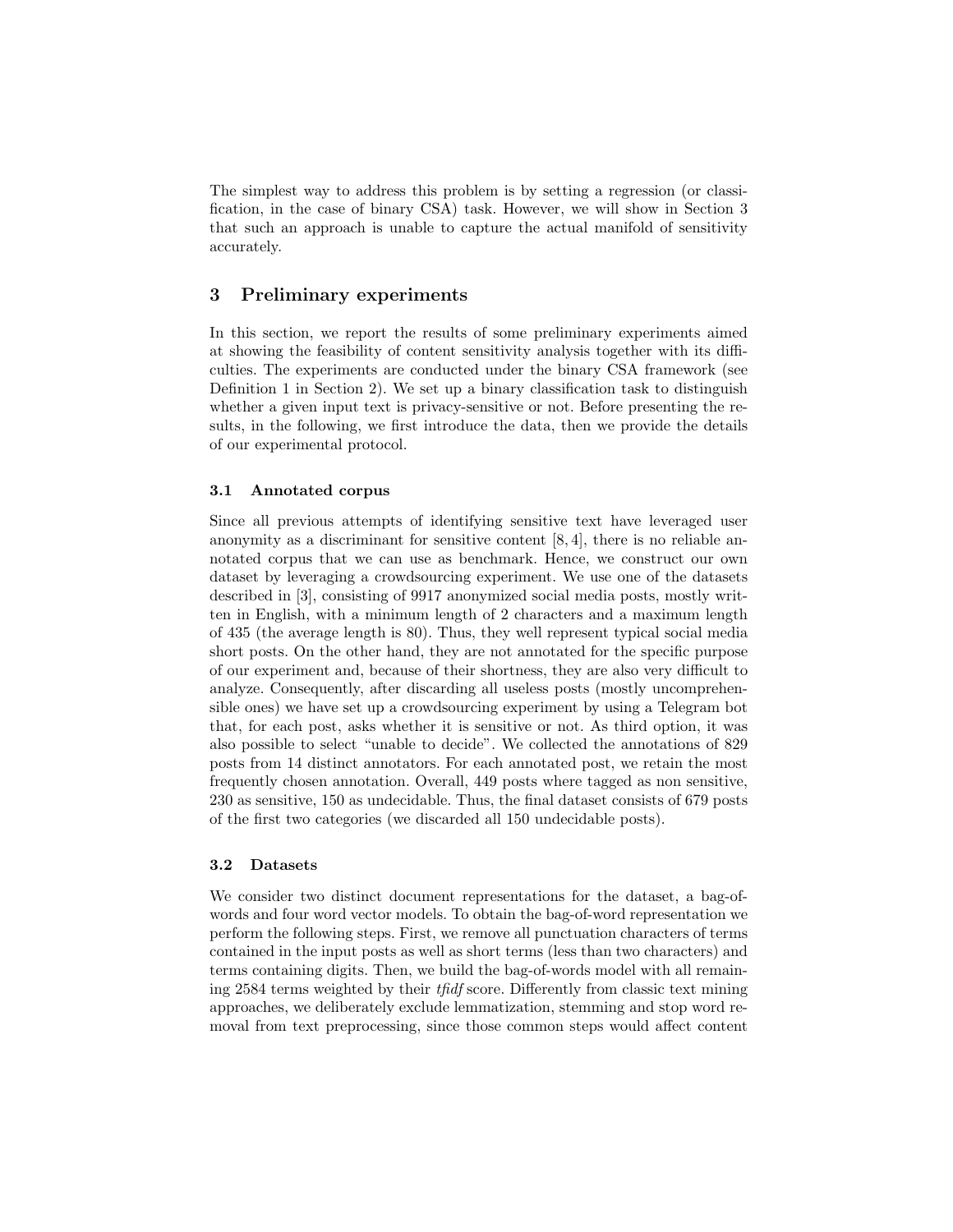The simplest way to address this problem is by setting a regression (or classification, in the case of binary CSA) task. However, we will show in Section 3 that such an approach is unable to capture the actual manifold of sensitivity accurately.

# 3 Preliminary experiments

In this section, we report the results of some preliminary experiments aimed at showing the feasibility of content sensitivity analysis together with its difficulties. The experiments are conducted under the binary CSA framework (see Definition 1 in Section 2). We set up a binary classification task to distinguish whether a given input text is privacy-sensitive or not. Before presenting the results, in the following, we first introduce the data, then we provide the details of our experimental protocol.

#### 3.1 Annotated corpus

Since all previous attempts of identifying sensitive text have leveraged user anonymity as a discriminant for sensitive content [8, 4], there is no reliable annotated corpus that we can use as benchmark. Hence, we construct our own dataset by leveraging a crowdsourcing experiment. We use one of the datasets described in [3], consisting of 9917 anonymized social media posts, mostly written in English, with a minimum length of 2 characters and a maximum length of 435 (the average length is 80). Thus, they well represent typical social media short posts. On the other hand, they are not annotated for the specific purpose of our experiment and, because of their shortness, they are also very difficult to analyze. Consequently, after discarding all useless posts (mostly uncomprehensible ones) we have set up a crowdsourcing experiment by using a Telegram bot that, for each post, asks whether it is sensitive or not. As third option, it was also possible to select "unable to decide". We collected the annotations of 829 posts from 14 distinct annotators. For each annotated post, we retain the most frequently chosen annotation. Overall, 449 posts where tagged as non sensitive, 230 as sensitive, 150 as undecidable. Thus, the final dataset consists of 679 posts of the first two categories (we discarded all 150 undecidable posts).

#### 3.2 Datasets

We consider two distinct document representations for the dataset, a bag-ofwords and four word vector models. To obtain the bag-of-word representation we perform the following steps. First, we remove all punctuation characters of terms contained in the input posts as well as short terms (less than two characters) and terms containing digits. Then, we build the bag-of-words model with all remaining 2584 terms weighted by their tfidf score. Differently from classic text mining approaches, we deliberately exclude lemmatization, stemming and stop word removal from text preprocessing, since those common steps would affect content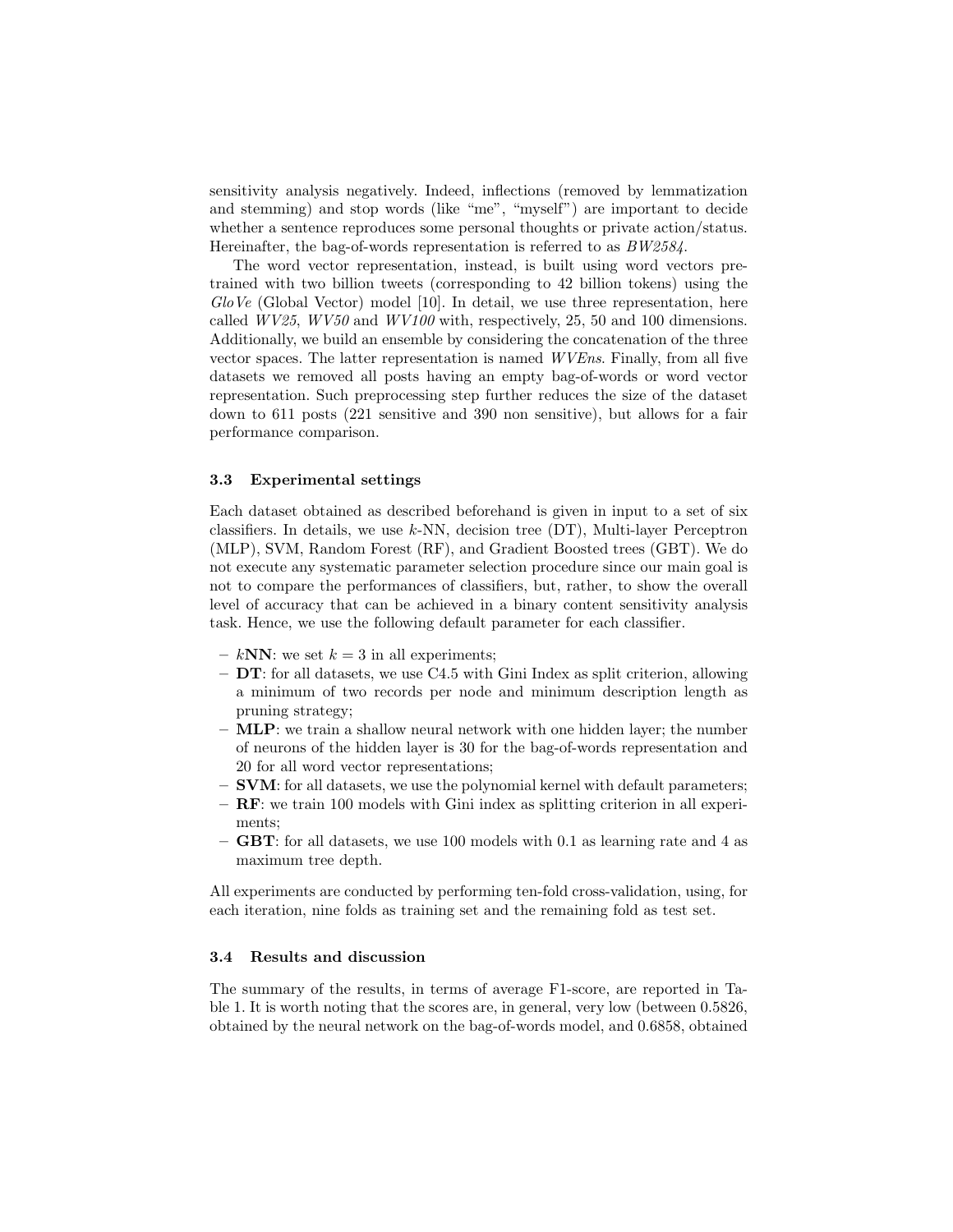sensitivity analysis negatively. Indeed, inflections (removed by lemmatization and stemming) and stop words (like "me", "myself") are important to decide whether a sentence reproduces some personal thoughts or private action/status. Hereinafter, the bag-of-words representation is referred to as BW2584.

The word vector representation, instead, is built using word vectors pretrained with two billion tweets (corresponding to 42 billion tokens) using the  $GloVe$  (Global Vector) model [10]. In detail, we use three representation, here called  $WV25$ ,  $WV50$  and  $WV100$  with, respectively, 25, 50 and 100 dimensions. Additionally, we build an ensemble by considering the concatenation of the three vector spaces. The latter representation is named WVEns. Finally, from all five datasets we removed all posts having an empty bag-of-words or word vector representation. Such preprocessing step further reduces the size of the dataset down to 611 posts (221 sensitive and 390 non sensitive), but allows for a fair performance comparison.

#### 3.3 Experimental settings

Each dataset obtained as described beforehand is given in input to a set of six classifiers. In details, we use  $k$ -NN, decision tree  $(DT)$ , Multi-layer Perceptron (MLP), SVM, Random Forest (RF), and Gradient Boosted trees (GBT). We do not execute any systematic parameter selection procedure since our main goal is not to compare the performances of classifiers, but, rather, to show the overall level of accuracy that can be achieved in a binary content sensitivity analysis task. Hence, we use the following default parameter for each classifier.

- $kNN$ : we set  $k = 3$  in all experiments;
- $-$  **DT**: for all datasets, we use C4.5 with Gini Index as split criterion, allowing a minimum of two records per node and minimum description length as pruning strategy;
- MLP: we train a shallow neural network with one hidden layer; the number of neurons of the hidden layer is 30 for the bag-of-words representation and 20 for all word vector representations;
- SVM: for all datasets, we use the polynomial kernel with default parameters;
- $-$  **RF**: we train 100 models with Gini index as splitting criterion in all experiments;
- GBT: for all datasets, we use 100 models with 0.1 as learning rate and 4 as maximum tree depth.

All experiments are conducted by performing ten-fold cross-validation, using, for each iteration, nine folds as training set and the remaining fold as test set.

### 3.4 Results and discussion

The summary of the results, in terms of average F1-score, are reported in Table 1. It is worth noting that the scores are, in general, very low (between 0.5826, obtained by the neural network on the bag-of-words model, and 0.6858, obtained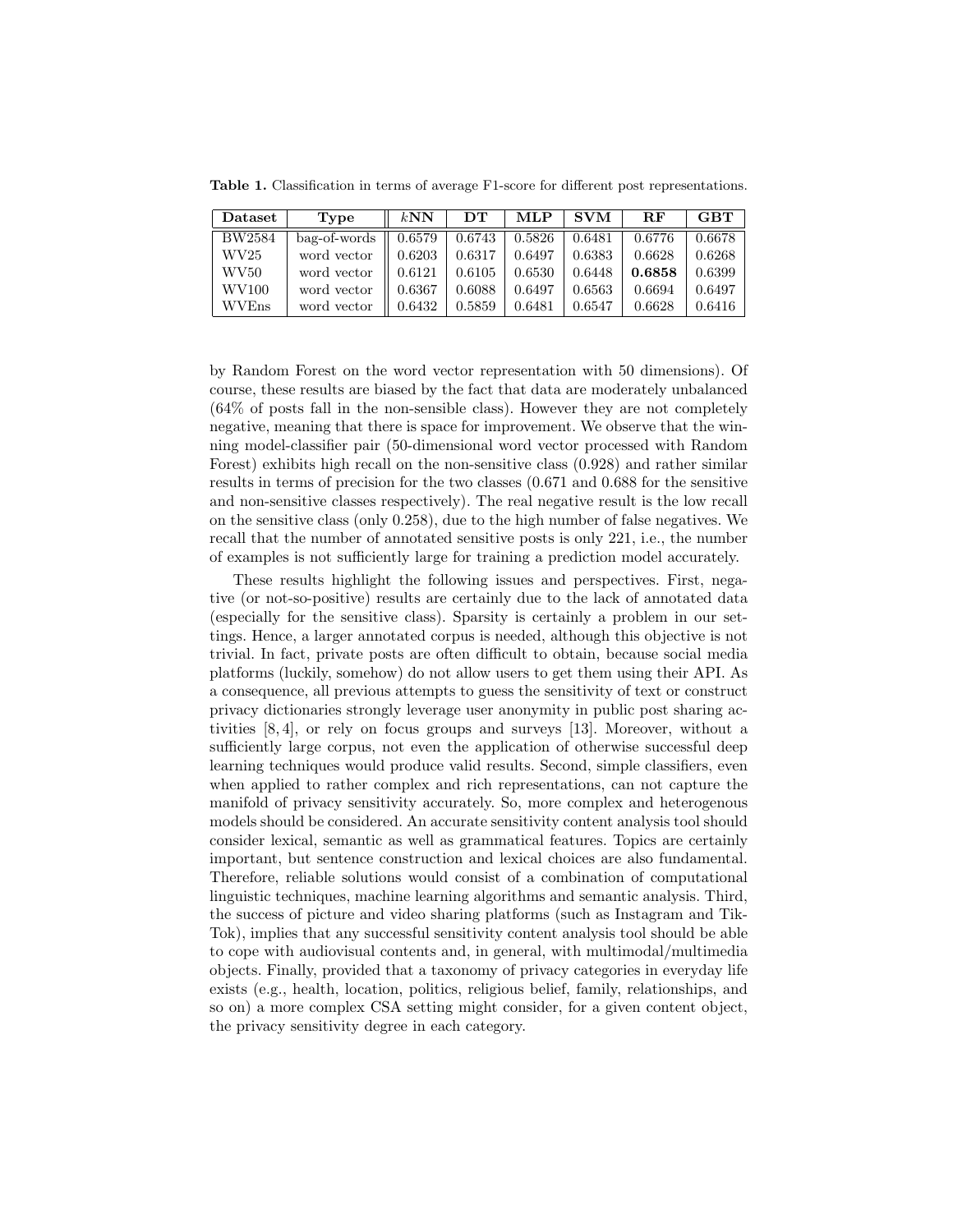Table 1. Classification in terms of average F1-score for different post representations.

| Dataset       | Type         | kNN    | DТ     | <b>MLP</b> | <b>SVM</b> | $R$ F  | <b>GBT</b> |
|---------------|--------------|--------|--------|------------|------------|--------|------------|
| <b>BW2584</b> | bag-of-words | 0.6579 | 0.6743 | 0.5826     | 0.6481     | 0.6776 | 0.6678     |
| WV25          | word vector  | 0.6203 | 0.6317 | 0.6497     | 0.6383     | 0.6628 | 0.6268     |
| WV50          | word vector  | 0.6121 | 0.6105 | 0.6530     | 0.6448     | 0.6858 | 0.6399     |
| WV100         | word vector  | 0.6367 | 0.6088 | 0.6497     | 0.6563     | 0.6694 | 0.6497     |
| WVEns         | word vector  | 0.6432 | 0.5859 | 0.6481     | 0.6547     | 0.6628 | 0.6416     |

by Random Forest on the word vector representation with 50 dimensions). Of course, these results are biased by the fact that data are moderately unbalanced (64% of posts fall in the non-sensible class). However they are not completely negative, meaning that there is space for improvement. We observe that the winning model-classifier pair (50-dimensional word vector processed with Random Forest) exhibits high recall on the non-sensitive class (0.928) and rather similar results in terms of precision for the two classes (0.671 and 0.688 for the sensitive and non-sensitive classes respectively). The real negative result is the low recall on the sensitive class (only 0.258), due to the high number of false negatives. We recall that the number of annotated sensitive posts is only 221, i.e., the number of examples is not sufficiently large for training a prediction model accurately.

These results highlight the following issues and perspectives. First, negative (or not-so-positive) results are certainly due to the lack of annotated data (especially for the sensitive class). Sparsity is certainly a problem in our settings. Hence, a larger annotated corpus is needed, although this objective is not trivial. In fact, private posts are often difficult to obtain, because social media platforms (luckily, somehow) do not allow users to get them using their API. As a consequence, all previous attempts to guess the sensitivity of text or construct privacy dictionaries strongly leverage user anonymity in public post sharing activities [8, 4], or rely on focus groups and surveys [13]. Moreover, without a sufficiently large corpus, not even the application of otherwise successful deep learning techniques would produce valid results. Second, simple classifiers, even when applied to rather complex and rich representations, can not capture the manifold of privacy sensitivity accurately. So, more complex and heterogenous models should be considered. An accurate sensitivity content analysis tool should consider lexical, semantic as well as grammatical features. Topics are certainly important, but sentence construction and lexical choices are also fundamental. Therefore, reliable solutions would consist of a combination of computational linguistic techniques, machine learning algorithms and semantic analysis. Third, the success of picture and video sharing platforms (such as Instagram and Tik-Tok), implies that any successful sensitivity content analysis tool should be able to cope with audiovisual contents and, in general, with multimodal/multimedia objects. Finally, provided that a taxonomy of privacy categories in everyday life exists (e.g., health, location, politics, religious belief, family, relationships, and so on) a more complex CSA setting might consider, for a given content object, the privacy sensitivity degree in each category.